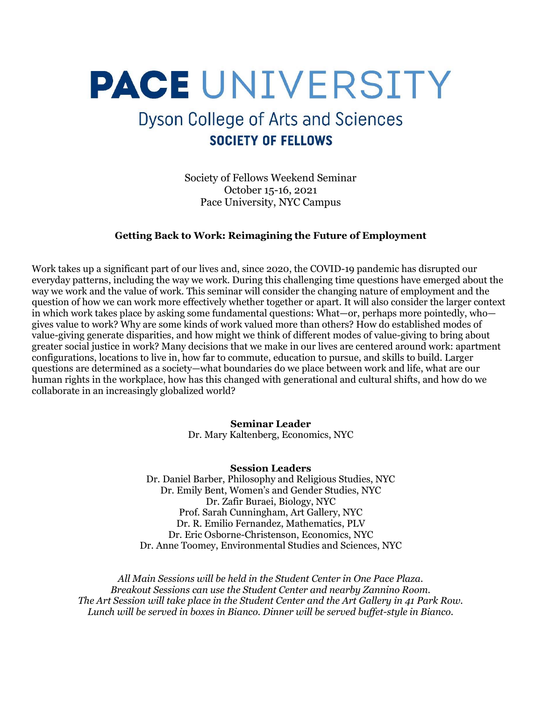# **PACE UNIVERSITY**

## **Dyson College of Arts and Sciences SOCIETY OF FELLOWS**

Society of Fellows Weekend Seminar October 15-16, 2021 Pace University, NYC Campus

#### Getting Back to Work: Reimagining the Future of Employment

Work takes up a significant part of our lives and, since 2020, the COVID-19 pandemic has disrupted our everyday patterns, including the way we work. During this challenging time questions have emerged about the way we work and the value of work. This seminar will consider the changing nature of employment and the question of how we can work more effectively whether together or apart. It will also consider the larger context in which work takes place by asking some fundamental questions: What—or, perhaps more pointedly, who gives value to work? Why are some kinds of work valued more than others? How do established modes of value-giving generate disparities, and how might we think of different modes of value-giving to bring about greater social justice in work? Many decisions that we make in our lives are centered around work: apartment configurations, locations to live in, how far to commute, education to pursue, and skills to build. Larger questions are determined as a society—what boundaries do we place between work and life, what are our human rights in the workplace, how has this changed with generational and cultural shifts, and how do we collaborate in an increasingly globalized world?

> Seminar Leader Dr. Mary Kaltenberg, Economics, NYC

#### Session Leaders

Dr. Daniel Barber, Philosophy and Religious Studies, NYC Dr. Emily Bent, Women's and Gender Studies, NYC Dr. Zafir Buraei, Biology, NYC Prof. Sarah Cunningham, Art Gallery, NYC Dr. R. Emilio Fernandez, Mathematics, PLV Dr. Eric Osborne-Christenson, Economics, NYC Dr. Anne Toomey, Environmental Studies and Sciences, NYC

All Main Sessions will be held in the Student Center in One Pace Plaza. Breakout Sessions can use the Student Center and nearby Zannino Room. The Art Session will take place in the Student Center and the Art Gallery in 41 Park Row. Lunch will be served in boxes in Bianco. Dinner will be served buffet-style in Bianco.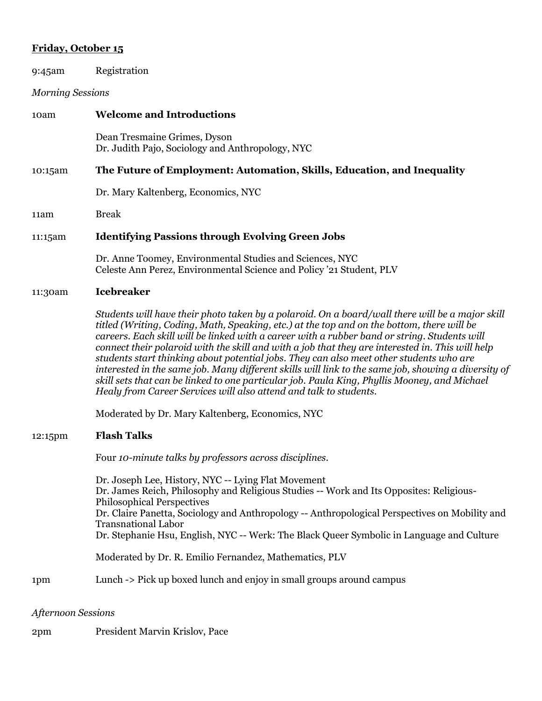### Friday, October 15

| 9:45am                  | Registration                                                                                                                                                                                                                                                                                                                                                                                                                                                                                                                                                                                                                                                                                                                                                             |
|-------------------------|--------------------------------------------------------------------------------------------------------------------------------------------------------------------------------------------------------------------------------------------------------------------------------------------------------------------------------------------------------------------------------------------------------------------------------------------------------------------------------------------------------------------------------------------------------------------------------------------------------------------------------------------------------------------------------------------------------------------------------------------------------------------------|
| <b>Morning Sessions</b> |                                                                                                                                                                                                                                                                                                                                                                                                                                                                                                                                                                                                                                                                                                                                                                          |
| 10am                    | <b>Welcome and Introductions</b>                                                                                                                                                                                                                                                                                                                                                                                                                                                                                                                                                                                                                                                                                                                                         |
|                         | Dean Tresmaine Grimes, Dyson<br>Dr. Judith Pajo, Sociology and Anthropology, NYC                                                                                                                                                                                                                                                                                                                                                                                                                                                                                                                                                                                                                                                                                         |
| 10:15am                 | The Future of Employment: Automation, Skills, Education, and Inequality                                                                                                                                                                                                                                                                                                                                                                                                                                                                                                                                                                                                                                                                                                  |
|                         | Dr. Mary Kaltenberg, Economics, NYC                                                                                                                                                                                                                                                                                                                                                                                                                                                                                                                                                                                                                                                                                                                                      |
| 11am                    | <b>Break</b>                                                                                                                                                                                                                                                                                                                                                                                                                                                                                                                                                                                                                                                                                                                                                             |
| 11:15am                 | <b>Identifying Passions through Evolving Green Jobs</b>                                                                                                                                                                                                                                                                                                                                                                                                                                                                                                                                                                                                                                                                                                                  |
|                         | Dr. Anne Toomey, Environmental Studies and Sciences, NYC<br>Celeste Ann Perez, Environmental Science and Policy '21 Student, PLV                                                                                                                                                                                                                                                                                                                                                                                                                                                                                                                                                                                                                                         |
| 11:30am                 | <b>Icebreaker</b>                                                                                                                                                                                                                                                                                                                                                                                                                                                                                                                                                                                                                                                                                                                                                        |
|                         | Students will have their photo taken by a polaroid. On a board/wall there will be a major skill<br>titled (Writing, Coding, Math, Speaking, etc.) at the top and on the bottom, there will be<br>careers. Each skill will be linked with a career with a rubber band or string. Students will<br>connect their polaroid with the skill and with a job that they are interested in. This will help<br>students start thinking about potential jobs. They can also meet other students who are<br>interested in the same job. Many different skills will link to the same job, showing a diversity of<br>skill sets that can be linked to one particular job. Paula King, Phyllis Mooney, and Michael<br>Healy from Career Services will also attend and talk to students. |
|                         | Moderated by Dr. Mary Kaltenberg, Economics, NYC                                                                                                                                                                                                                                                                                                                                                                                                                                                                                                                                                                                                                                                                                                                         |
| 12:15pm                 | <b>Flash Talks</b>                                                                                                                                                                                                                                                                                                                                                                                                                                                                                                                                                                                                                                                                                                                                                       |
|                         | Four 10-minute talks by professors across disciplines.                                                                                                                                                                                                                                                                                                                                                                                                                                                                                                                                                                                                                                                                                                                   |
|                         | Dr. Joseph Lee, History, NYC -- Lying Flat Movement<br>Dr. James Reich, Philosophy and Religious Studies -- Work and Its Opposites: Religious-<br><b>Philosophical Perspectives</b><br>Dr. Claire Panetta, Sociology and Anthropology -- Anthropological Perspectives on Mobility and<br><b>Transnational Labor</b><br>Dr. Stephanie Hsu, English, NYC -- Werk: The Black Queer Symbolic in Language and Culture                                                                                                                                                                                                                                                                                                                                                         |
|                         | Moderated by Dr. R. Emilio Fernandez, Mathematics, PLV                                                                                                                                                                                                                                                                                                                                                                                                                                                                                                                                                                                                                                                                                                                   |
| 1pm                     | Lunch -> Pick up boxed lunch and enjoy in small groups around campus                                                                                                                                                                                                                                                                                                                                                                                                                                                                                                                                                                                                                                                                                                     |
| $4.4$ american Corrier  |                                                                                                                                                                                                                                                                                                                                                                                                                                                                                                                                                                                                                                                                                                                                                                          |

Afternoon Sessions

2pm President Marvin Krislov, Pace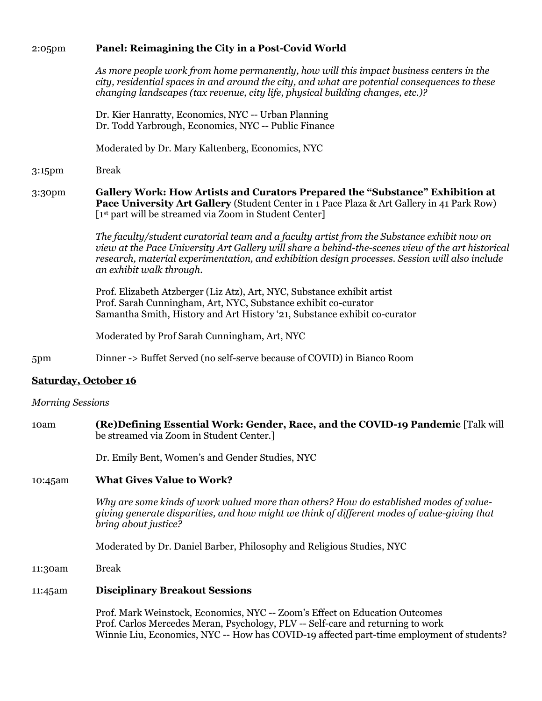#### 2:05pm Panel: Reimagining the City in a Post-Covid World

As more people work from home permanently, how will this impact business centers in the city, residential spaces in and around the city, and what are potential consequences to these changing landscapes (tax revenue, city life, physical building changes, etc.)?

Dr. Kier Hanratty, Economics, NYC -- Urban Planning Dr. Todd Yarbrough, Economics, NYC -- Public Finance

Moderated by Dr. Mary Kaltenberg, Economics, NYC

3:15pm Break

3:30pm Gallery Work: How Artists and Curators Prepared the "Substance" Exhibition at Pace University Art Gallery (Student Center in 1 Pace Plaza & Art Gallery in 41 Park Row) [1<sup>st</sup> part will be streamed via Zoom in Student Center]

> The faculty/student curatorial team and a faculty artist from the Substance exhibit now on view at the Pace University Art Gallery will share a behind-the-scenes view of the art historical research, material experimentation, and exhibition design processes. Session will also include an exhibit walk through.

Prof. Elizabeth Atzberger (Liz Atz), Art, NYC, Substance exhibit artist Prof. Sarah Cunningham, Art, NYC, Substance exhibit co-curator Samantha Smith, History and Art History '21, Substance exhibit co-curator

Moderated by Prof Sarah Cunningham, Art, NYC

5pm Dinner -> Buffet Served (no self-serve because of COVID) in Bianco Room

#### Saturday, October 16

#### Morning Sessions

10am (Re)Defining Essential Work: Gender, Race, and the COVID-19 Pandemic [Talk will be streamed via Zoom in Student Center.]

Dr. Emily Bent, Women's and Gender Studies, NYC

#### 10:45am What Gives Value to Work?

Why are some kinds of work valued more than others? How do established modes of valuegiving generate disparities, and how might we think of different modes of value-giving that bring about justice?

Moderated by Dr. Daniel Barber, Philosophy and Religious Studies, NYC

11:30am Break

#### 11:45am Disciplinary Breakout Sessions

Prof. Mark Weinstock, Economics, NYC -- Zoom's Effect on Education Outcomes Prof. Carlos Mercedes Meran, Psychology, PLV -- Self-care and returning to work Winnie Liu, Economics, NYC -- How has COVID-19 affected part-time employment of students?